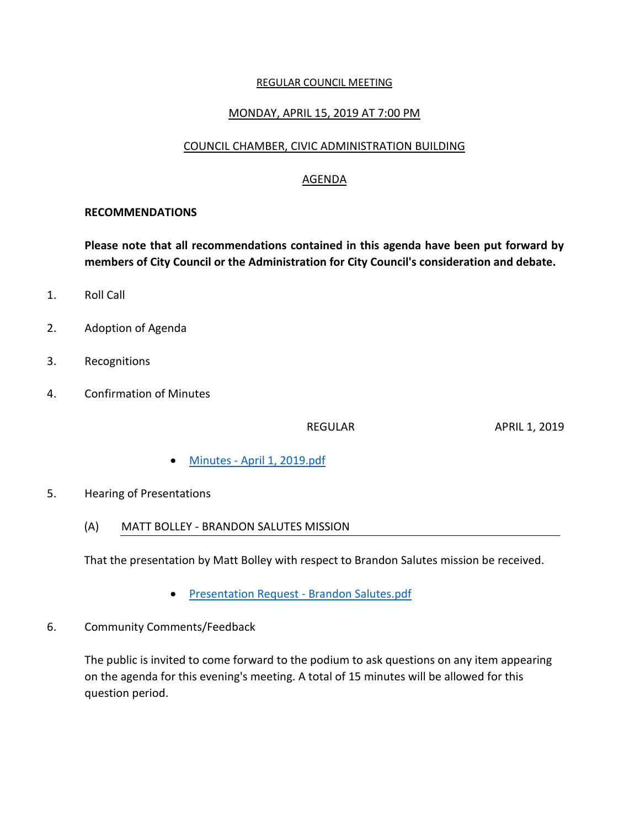#### REGULAR COUNCIL MEETING

### MONDAY, APRIL 15, 2019 AT 7:00 PM

### COUNCIL CHAMBER, CIVIC ADMINISTRATION BUILDING

### AGENDA

#### **RECOMMENDATIONS**

**Please note that all recommendations contained in this agenda have been put forward by members of City Council or the Administration for City Council's consideration and debate.**

- 1. Roll Call
- 2. Adoption of Agenda
- 3. Recognitions
- 4. Confirmation of Minutes

REGULAR APRIL 1, 2019

- Minutes [April 1, 2019.pdf](https://paperlesscouncil.brandon.ca/attachments/A_2019/COM_KROKRFZIWAOOIZRQPEFRQVUZCBRNOZUPFHJEKBWBQGEQRCRNLJM_Minutes%20-%20April%201,%202019.pdf)
- 5. Hearing of Presentations
	- (A) MATT BOLLEY BRANDON SALUTES MISSION

That the presentation by Matt Bolley with respect to Brandon Salutes mission be received.

- [Presentation Request -](https://paperlesscouncil.brandon.ca/attachments/A_2019/HOP_UAKZDCGZKAELWTPWXBSSHULBGZVDONAJONICFUBQSWPLRZCSLYW_Presentation%20Request%20-%20Brandon%20Salutes.pdf) Brandon Salutes.pdf
- 6. Community Comments/Feedback

The public is invited to come forward to the podium to ask questions on any item appearing on the agenda for this evening's meeting. A total of 15 minutes will be allowed for this question period.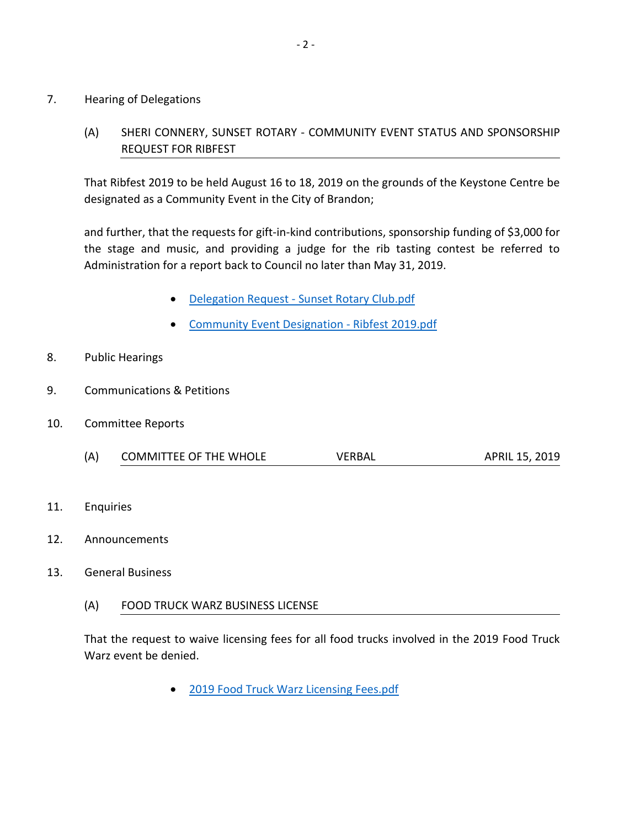#### 7. Hearing of Delegations

## (A) SHERI CONNERY, SUNSET ROTARY - COMMUNITY EVENT STATUS AND SPONSORSHIP REQUEST FOR RIBFEST

That Ribfest 2019 to be held August 16 to 18, 2019 on the grounds of the Keystone Centre be designated as a Community Event in the City of Brandon;

and further, that the requests for gift-in-kind contributions, sponsorship funding of \$3,000 for the stage and music, and providing a judge for the rib tasting contest be referred to Administration for a report back to Council no later than May 31, 2019.

- Delegation Request [Sunset Rotary Club.pdf](https://paperlesscouncil.brandon.ca/attachments/A_2019/HOD_EOOBICCOYEFTREJQUVVDZXGVUCEIHHFZPMPTGYUFJHINYXTQMKR_Delegation%20Request%20-%20Sunset%20Rotary%20Club.pdf)
- [Community Event Designation -](https://paperlesscouncil.brandon.ca/attachments/A_2019/HOD_OPYVPIIVMFEKALHIPUYLELMLPFOSGDSLMMNLGKTPPMNUTZTHGWI_Community%20Event%20Designation%20-%20Ribfest%202019.pdf) Ribfest 2019.pdf
- 8. Public Hearings
- 9. Communications & Petitions
- 10. Committee Reports
	- (A) COMMITTEE OF THE WHOLE VERBAL APRIL 15, 2019
- 11. Enquiries
- 12. Announcements
- 13. General Business
	- (A) FOOD TRUCK WARZ BUSINESS LICENSE

That the request to waive licensing fees for all food trucks involved in the 2019 Food Truck Warz event be denied.

[2019 Food Truck Warz Licensing Fees.pdf](https://paperlesscouncil.brandon.ca/attachments/A_2019/GEN_QWOWTLDTANUIIOVSWSNJREMYLJLKHEMFMKANZVFSPEYTDXKWQBD_2019%20Food%20Truck%20Warz%20Licensing%20Fees.pdf)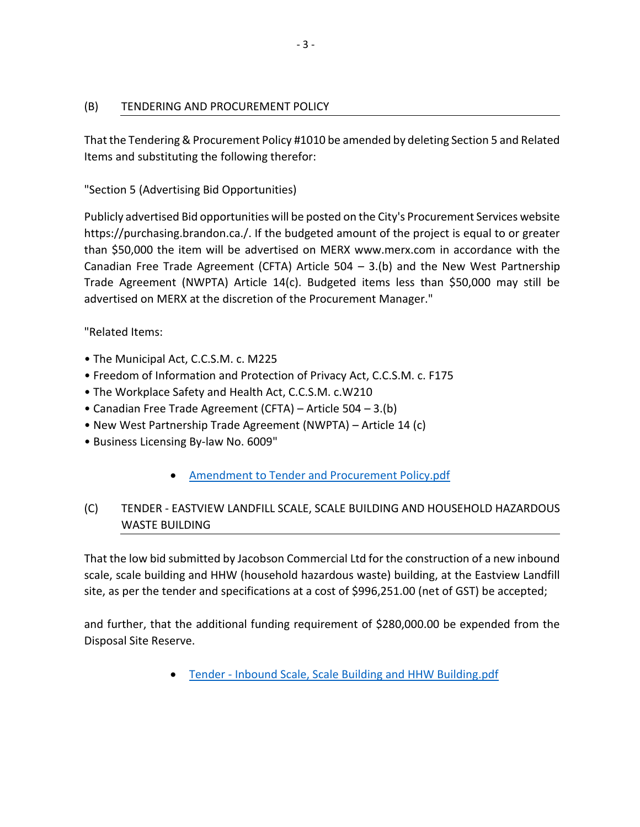## (B) TENDERING AND PROCUREMENT POLICY

That the Tendering & Procurement Policy #1010 be amended by deleting Section 5 and Related Items and substituting the following therefor:

"Section 5 (Advertising Bid Opportunities)

Publicly advertised Bid opportunities will be posted on the City's Procurement Services website https://purchasing.brandon.ca./. If the budgeted amount of the project is equal to or greater than \$50,000 the item will be advertised on MERX www.merx.com in accordance with the Canadian Free Trade Agreement (CFTA) Article  $504 - 3$ .(b) and the New West Partnership Trade Agreement (NWPTA) Article 14(c). Budgeted items less than \$50,000 may still be advertised on MERX at the discretion of the Procurement Manager."

"Related Items:

- The Municipal Act, C.C.S.M. c. M225
- Freedom of Information and Protection of Privacy Act, C.C.S.M. c. F175
- The Workplace Safety and Health Act, C.C.S.M. c.W210
- Canadian Free Trade Agreement (CFTA) Article 504 3.(b)
- New West Partnership Trade Agreement (NWPTA) Article 14 (c)
- Business Licensing By-law No. 6009"
	- [Amendment to Tender and Procurement Policy.pdf](https://paperlesscouncil.brandon.ca/attachments/A_2019/GEN_JFFCXGZDYFEYPLLKPAZUFCRXYFPBSEDVXIEUNLSBNABHJSVJTPW_Amendment%20to%20Tender%20and%20Procurement%20Policy.pdf)

# (C) TENDER - EASTVIEW LANDFILL SCALE, SCALE BUILDING AND HOUSEHOLD HAZARDOUS WASTE BUILDING

That the low bid submitted by Jacobson Commercial Ltd for the construction of a new inbound scale, scale building and HHW (household hazardous waste) building, at the Eastview Landfill site, as per the tender and specifications at a cost of \$996,251.00 (net of GST) be accepted;

and further, that the additional funding requirement of \$280,000.00 be expended from the Disposal Site Reserve.

Tender - [Inbound Scale, Scale Building and HHW Building.pdf](https://paperlesscouncil.brandon.ca/attachments/A_2019/GEN_EUWCLKGYWCVKRRHEJSMLJJIGGNIISSFMITUMUAHNVZZWQTCZDKD_Tender%20-%20Inbound%20Scale,%20Scale%20Building%20and%20HHW%20Building.pdf)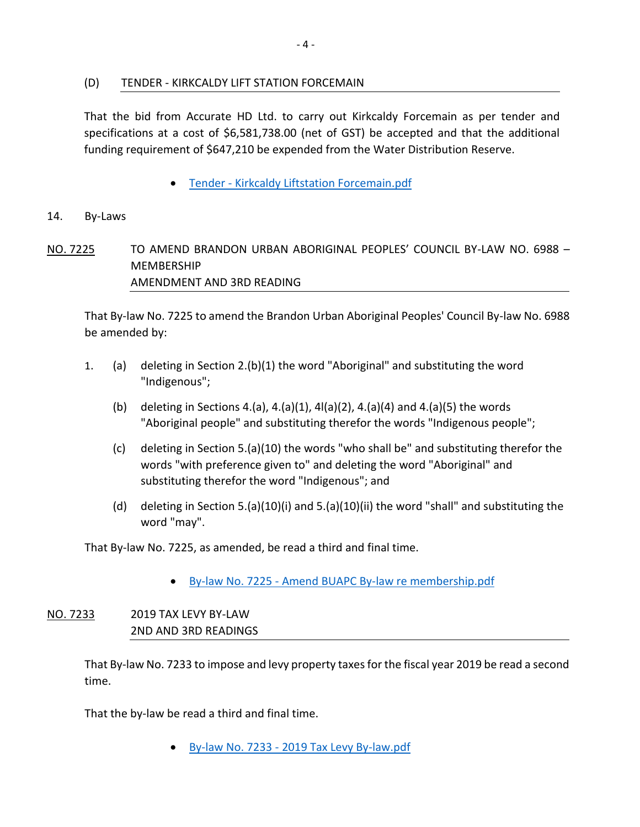### (D) TENDER - KIRKCALDY LIFT STATION FORCEMAIN

That the bid from Accurate HD Ltd. to carry out Kirkcaldy Forcemain as per tender and specifications at a cost of \$6,581,738.00 (net of GST) be accepted and that the additional funding requirement of \$647,210 be expended from the Water Distribution Reserve.

Tender - [Kirkcaldy Liftstation Forcemain.pdf](https://paperlesscouncil.brandon.ca/attachments/A_2019/GEN_AZHXDYWZWFGHBFLSKUKNDGAXXMQXQDGOXCZMAIVWAFHOJZVXDGF_Tender%20-%20Kirkcaldy%20Liftstation%20Forcemain.pdf)

#### 14. By-Laws

## NO. 7225 TO AMEND BRANDON URBAN ABORIGINAL PEOPLES' COUNCIL BY-LAW NO. 6988 – MEMBERSHIP AMENDMENT AND 3RD READING

That By-law No. 7225 to amend the Brandon Urban Aboriginal Peoples' Council By-law No. 6988 be amended by:

- 1. (a) deleting in Section 2.(b)(1) the word "Aboriginal" and substituting the word "Indigenous";
	- (b) deleting in Sections 4.(a), 4.(a)(1), 4l(a)(2), 4.(a)(4) and 4.(a)(5) the words "Aboriginal people" and substituting therefor the words "Indigenous people";
	- (c) deleting in Section 5.(a)(10) the words "who shall be" and substituting therefor the words "with preference given to" and deleting the word "Aboriginal" and substituting therefor the word "Indigenous"; and
	- (d) deleting in Section 5.(a)(10)(i) and 5.(a)(10)(ii) the word "shall" and substituting the word "may".

That By-law No. 7225, as amended, be read a third and final time.

By-law No. 7225 - [Amend BUAPC By-law re membership.pdf](https://paperlesscouncil.brandon.ca/attachments/A_2019/BYL_MBBDGTMUFVMBOEAYTIDCMOZSMMUFOEGSLAACNXBMAQMQGRXBKBT_By-law%20No.%207225%20-%20Amend%20BUAPC%20By-law%20re%20membership.pdf)

## NO. 7233 2019 TAX LEVY BY-LAW 2ND AND 3RD READINGS

That By-law No. 7233 to impose and levy property taxes for the fiscal year 2019 be read a second time.

That the by-law be read a third and final time.

By-law No. 7233 - [2019 Tax Levy By-law.pdf](https://paperlesscouncil.brandon.ca/attachments/A_2019/BYL_SXMJAPOQIMPSCZDJFZSYOBECIJHNZKAKOQDRKWLFLTDONDTHTLW_By-law%20No.%207233%20-%202019%20Tax%20Levy%20By-law.pdf)